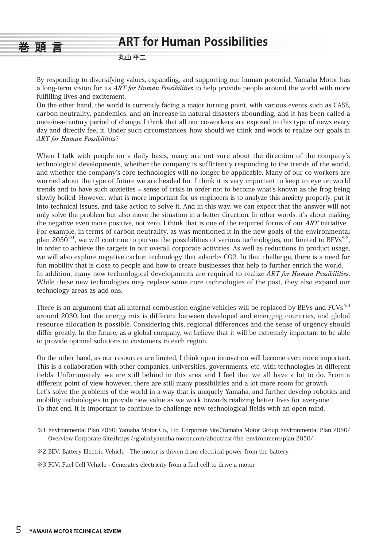## 巻頭言 **ART for Human Possibilities**

**丸山 平二**

By responding to diversifying values, expanding, and supporting our human potential, Yamaha Motor has a long-term vision for its *ART for Human Possibilities* to help provide people around the world with more fulfilling lives and excitement.

On the other hand, the world is currently facing a major turning point, with various events such as CASE, carbon neutrality, pandemics, and an increase in natural disasters abounding, and it has been called a once-in-a-century period of change. I think that all our co-workers are exposed to this type of news every day and directly feel it. Under such circumstances, how should we think and work to realize our goals in *ART for Human Possibilities*?

When I talk with people on a daily basis, many are not sure about the direction of the company's technological developments, whether the company is sufficiently responding to the trends of the world, and whether the company's core technologies will no longer be applicable. Many of our co-workers are worried about the type of future we are headed for. I think it is very important to keep an eye on world trends and to have such anxieties = sense of crisis in order not to become what's known as the frog being slowly boiled. However, what is more important for us engineers is to analyze this anxiety properly, put it into technical issues, and take action to solve it. And in this way, we can expect that the answer will not only solve the problem but also move the situation in a better direction. In other words, it's about making the negative even more positive, not zero. I think that is one of the required forms of our *ART* initiative. For example, in terms of carbon neutrality, as was mentioned it in the new goals of the environmental plan 2050<sup><sup>34</sup>, we will continue to pursue the possibilities of various technologies, not limited to BEVs<sup>32</sup>,</sup> in order to achieve the targets in our overall corporate activities. As well as reductions in product usage, we will also explore negative carbon technology that adsorbs CO2. In that challenge, there is a need for fun mobility that is close to people and how to create businesses that help to further enrich the world. In addition, many new technological developments are required to realize *ART for Human Possibilities*. While these new technologies may replace some core technologies of the past, they also expand our technology areas as add-ons.

There is an argument that all internal combustion engine vehicles will be replaced by BEVs and FCVs<sup>38</sup> around 2030, but the energy mix is different between developed and emerging countries, and global resource allocation is possible. Considering this, regional differences and the sense of urgency should differ greatly. In the future, as a global company, we believe that it will be extremely important to be able to provide optimal solutions to customers in each region.

On the other hand, as our resources are limited, I think open innovation will become even more important. This is a collaboration with other companies, universities, governments, etc. with technologies in different fields. Unfortunately, we are still behind in this area and I feel that we all have a lot to do. From a different point of view however, there are still many possibilities and a lot more room for growth. Let's solve the problems of the world in a way that is uniquely Yamaha, and further develop robotics and mobility technologies to provide new value as we work towards realizing better lives for everyone. To that end, it is important to continue to challenge new technological fields with an open mind.

- ※1 Environmental Plan 2050: Yamaha Motor Co., Ltd. Corporate Site(Yamaha Motor Group Environmental Plan 2050/ Overview-Corporate Site)https://global.yamaha-motor.com/about/csr/the\_environment/plan-2050/
- ※2 BEV: Battery Electric Vehicle The motor is driven from electrical power from the battery
- ※3 FCV: Fuel Cell Vehicle Generates electricity from a fuel cell to drive a motor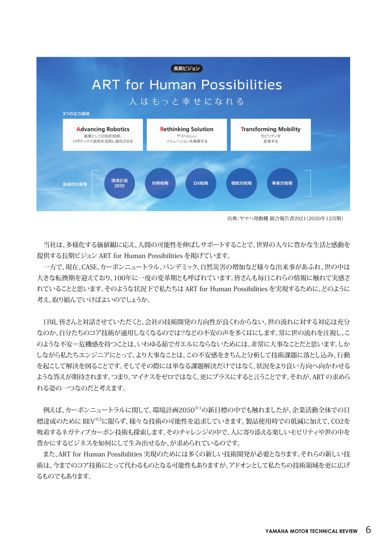

出典:ヤマハ発動機 統合報告書2021(2020年12月期)

 当社は、多様化する価値観に応え、人間の可能性を伸ばしサポートすることで、世界の人々に豊かな生活と感動を 提供する長期ビジョン ART for Human Possibilities を掲げています。

 一方で、現在、CASE、カーボンニュートラル、パンデミック、自然災害の増加など様々な出来事があふれ、世の中は 大きな転換期を迎えており、100年に一度の変革期とも呼ばれています。皆さんも毎日これらの情報に触れて実感さ れていることと思います。そのような状況下で私たちは ART for Human Possibilities を実現するために、どのように 考え、取り組んでいけばよいのでしょうか。

 日頃、皆さんと対話させていただくと、会社の技術開発の方向性が良くわからない、世の流れに対する対応は充分 なのか、自分たちのコア技術が通用しなくなるのでは?などの不安の声を多く耳にします。常に世の流れを注視し、こ のような不安=危機感を持つことは、いわゆる茹でガエルにならないためには、非常に大事なことだと思います。しか しながら私たちエンジニアにとって、より大事なことは、この不安感をきちんと分析して技術課題に落とし込み、行動 を起こして解決を図ることです。そしてその際には単なる課題解決だけではなく、状況をより良い方向へ向かわせる ような答えが期待されます。つまり、マイナスをゼロではなく、更にプラスにすると言うことです。それが、ART の求めら れる姿の一つなのだと考えます。

 例えば、カーボンニュートラルに関して、環境計画2050※1の新目標の中でも触れましたが、企業活動全体での目 標達成のために BEV<sup>※2</sup>に限らず、様々な技術の可能性を追求していきます。製品使用時での低減に加えて、CO2を 吸着するネガティブカーボン技術も探索します。そのチャレンジの中で、人に寄り添える楽しいモビリティや世の中を 豊かにするビジネスを如何にして生み出せるか、が求められているのです。

 また、ART for Human Possibilities 実現のためには多くの新しい技術開発が必要となります。それらの新しい技 術は、今までのコア技術にとって代わるものとなる可能性もありますが、アドオンとして私たちの技術領域を更に広げ るものでもあります。